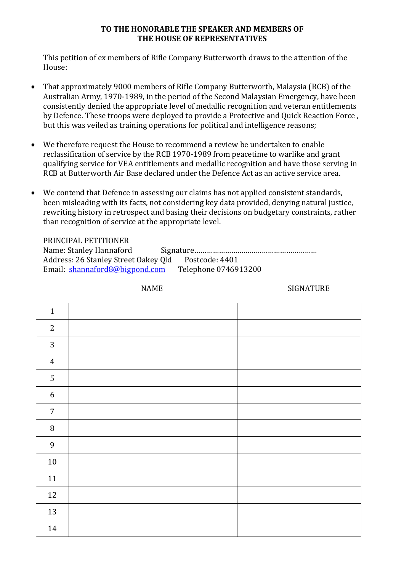## **TO THE HONORABLE THE SPEAKER AND MEMBERS OF THE HOUSE OF REPRESENTATIVES**

This petition of ex members of Rifle Company Butterworth draws to the attention of the House:

- That approximately 9000 members of Rifle Company Butterworth, Malaysia (RCB) of the Australian Army, 1970-1989, in the period of the Second Malaysian Emergency, have been consistently denied the appropriate level of medallic recognition and veteran entitlements by Defence. These troops were deployed to provide a Protective and Quick Reaction Force , but this was veiled as training operations for political and intelligence reasons;
- We therefore request the House to recommend a review be undertaken to enable reclassification of service by the RCB 1970-1989 from peacetime to warlike and grant qualifying service for VEA entitlements and medallic recognition and have those serving in RCB at Butterworth Air Base declared under the Defence Act as an active service area.
- We contend that Defence in assessing our claims has not applied consistent standards, been misleading with its facts, not considering key data provided, denying natural justice, rewriting history in retrospect and basing their decisions on budgetary constraints, rather than recognition of service at the appropriate level.

| PRINCIPAL PETITIONER                                |                      |
|-----------------------------------------------------|----------------------|
| Name: Stanley Hannaford                             |                      |
| Address: 26 Stanley Street Oakey Qld Postcode: 4401 |                      |
| Email: shannaford8@bigpond.com                      | Telephone 0746913200 |

NAME SIGNATURE

| $\mathbf 1$      |  |
|------------------|--|
| $\overline{2}$   |  |
| $\mathbf{3}$     |  |
| $\overline{4}$   |  |
| $\mathsf S$      |  |
| $\boldsymbol{6}$ |  |
| $\sqrt{7}$       |  |
| $\, 8$           |  |
| $\overline{9}$   |  |
| $10\,$           |  |
| 11               |  |
| $12\,$           |  |
| 13               |  |
| 14               |  |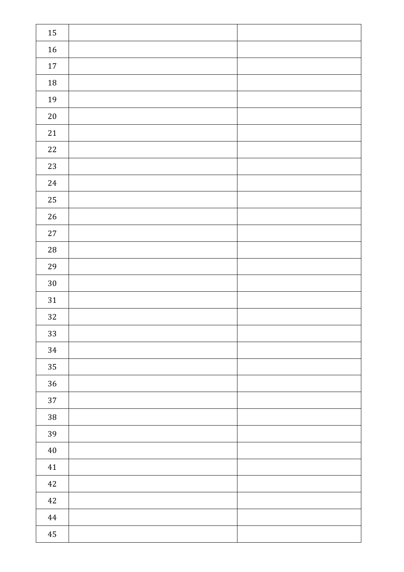| 15       |  |
|----------|--|
| $16\,$   |  |
| $17\,$   |  |
| $18\,$   |  |
| $19\,$   |  |
| $20\,$   |  |
| $21\,$   |  |
| $22\,$   |  |
| $23\,$   |  |
| $24\,$   |  |
| 25       |  |
| $26\,$   |  |
| $27\,$   |  |
| $28\,$   |  |
| 29       |  |
| $30\,$   |  |
| $31\,$   |  |
| $32\,$   |  |
| 33       |  |
| $34\,$   |  |
| 35       |  |
| $36\,$   |  |
| $37\,$   |  |
| $38\,$   |  |
| 39       |  |
| $40\,$   |  |
| 41       |  |
| $42\,$   |  |
| $42\,$   |  |
| $\bf 44$ |  |
| $\bf 45$ |  |